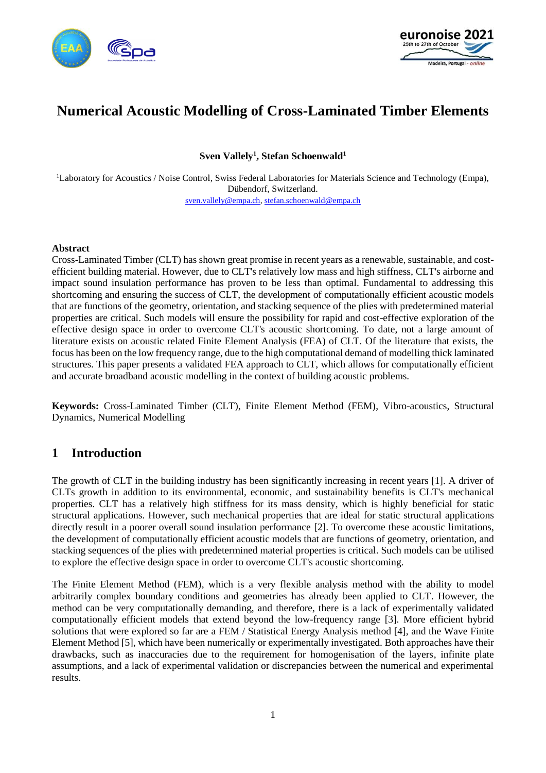



# **Numerical Acoustic Modelling of Cross-Laminated Timber Elements**

**Sven Vallely<sup>1</sup> , Stefan Schoenwald<sup>1</sup>**

<sup>1</sup>Laboratory for Acoustics / Noise Control, Swiss Federal Laboratories for Materials Science and Technology (Empa), Dübendorf, Switzerland. [sven.vallely@empa.ch,](mailto:sven.vallely@empa.ch) [stefan.schoenwald@empa.ch](mailto:stefan.schoenwald@empa.ch)

#### **Abstract**

Cross-Laminated Timber (CLT) has shown great promise in recent years as a renewable, sustainable, and costefficient building material. However, due to CLT's relatively low mass and high stiffness, CLT's airborne and impact sound insulation performance has proven to be less than optimal. Fundamental to addressing this shortcoming and ensuring the success of CLT, the development of computationally efficient acoustic models that are functions of the geometry, orientation, and stacking sequence of the plies with predetermined material properties are critical. Such models will ensure the possibility for rapid and cost-effective exploration of the effective design space in order to overcome CLT's acoustic shortcoming. To date, not a large amount of literature exists on acoustic related Finite Element Analysis (FEA) of CLT. Of the literature that exists, the focus has been on the low frequency range, due to the high computational demand of modelling thick laminated structures. This paper presents a validated FEA approach to CLT, which allows for computationally efficient and accurate broadband acoustic modelling in the context of building acoustic problems.

**Keywords:** Cross-Laminated Timber (CLT), Finite Element Method (FEM), Vibro-acoustics, Structural Dynamics, Numerical Modelling

### **1 Introduction**

The growth of CLT in the building industry has been significantly increasing in recent years [1]. A driver of CLTs growth in addition to its environmental, economic, and sustainability benefits is CLT's mechanical properties. CLT has a relatively high stiffness for its mass density, which is highly beneficial for static structural applications. However, such mechanical properties that are ideal for static structural applications directly result in a poorer overall sound insulation performance [2]. To overcome these acoustic limitations, the development of computationally efficient acoustic models that are functions of geometry, orientation, and stacking sequences of the plies with predetermined material properties is critical. Such models can be utilised to explore the effective design space in order to overcome CLT's acoustic shortcoming.

The Finite Element Method (FEM), which is a very flexible analysis method with the ability to model arbitrarily complex boundary conditions and geometries has already been applied to CLT. However, the method can be very computationally demanding, and therefore, there is a lack of experimentally validated computationally efficient models that extend beyond the low-frequency range [3]. More efficient hybrid solutions that were explored so far are a FEM / Statistical Energy Analysis method [4], and the Wave Finite Element Method [5], which have been numerically or experimentally investigated. Both approaches have their drawbacks, such as inaccuracies due to the requirement for homogenisation of the layers, infinite plate assumptions, and a lack of experimental validation or discrepancies between the numerical and experimental results.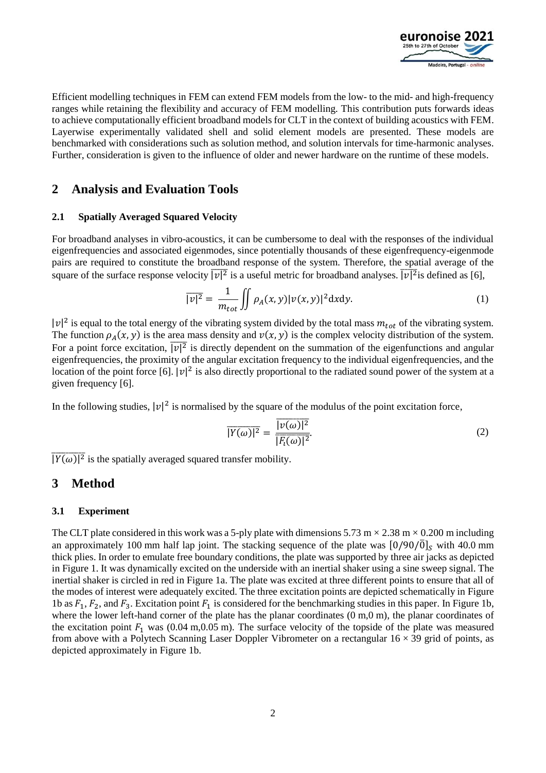

Efficient modelling techniques in FEM can extend FEM models from the low- to the mid- and high-frequency ranges while retaining the flexibility and accuracy of FEM modelling. This contribution puts forwards ideas to achieve computationally efficient broadband models for CLT in the context of building acoustics with FEM. Layerwise experimentally validated shell and solid element models are presented. These models are benchmarked with considerations such as solution method, and solution intervals for time-harmonic analyses. Further, consideration is given to the influence of older and newer hardware on the runtime of these models.

### **2 Analysis and Evaluation Tools**

#### **2.1 Spatially Averaged Squared Velocity**

For broadband analyses in vibro-acoustics, it can be cumbersome to deal with the responses of the individual eigenfrequencies and associated eigenmodes, since potentially thousands of these eigenfrequency-eigenmode pairs are required to constitute the broadband response of the system. Therefore, the spatial average of the square of the surface response velocity  $\overline{|v|^2}$  is a useful metric for broadband analyses.  $\overline{|v|^2}$  is defined as [6],

$$
\overline{|v|^2} = \frac{1}{m_{tot}} \iint \rho_A(x, y) |v(x, y)|^2 dxdy.
$$
 (1)

 $|v|^2$  is equal to the total energy of the vibrating system divided by the total mass  $m_{tot}$  of the vibrating system. The function  $\rho_A(x, y)$  is the area mass density and  $v(x, y)$  is the complex velocity distribution of the system. For a point force excitation,  $|\overline{v}|^2$  is directly dependent on the summation of the eigenfunctions and angular eigenfrequencies, the proximity of the angular excitation frequency to the individual eigenfrequencies, and the location of the point force [6].  $|\nu|^2$  is also directly proportional to the radiated sound power of the system at a given frequency [6].

In the following studies,  $|v|^2$  is normalised by the square of the modulus of the point excitation force,

$$
\overline{|Y(\omega)|^2} = \frac{\overline{|v(\omega)|^2}}{|\overline{F_t(\omega)}|^2}.
$$
\n(2)

 $|\overline{Y(\omega)}|^2$  is the spatially averaged squared transfer mobility.

### **3 Method**

#### <span id="page-1-0"></span>**3.1 Experiment**

The CLT plate considered in this work was a 5-ply plate with dimensions 5.73 m  $\times$  2.38 m  $\times$  0.200 m including an approximately 100 mm half lap joint. The stacking sequence of the plate was  $[0/90/\overline{0}]_S$  with 40.0 mm thick plies. In order to emulate free boundary conditions, the plate was supported by three air jacks as depicted in [Figure 1.](#page-2-0) It was dynamically excited on the underside with an inertial shaker using a sine sweep signal. The inertial shaker is circled in red in [Figure 1a](#page-2-0). The plate was excited at three different points to ensure that all of the modes of interest were adequately excited. The three excitation points are depicted schematically in [Figure](#page-2-0)  [1b](#page-2-0) as  $F_1$ ,  $F_2$ , and  $F_3$ . Excitation point  $F_1$  is considered for the benchmarking studies in this paper. In [Figure 1b](#page-2-0), where the lower left-hand corner of the plate has the planar coordinates (0 m,0 m), the planar coordinates of the excitation point  $F_1$  was (0.04 m,0.05 m). The surface velocity of the topside of the plate was measured from above with a Polytech Scanning Laser Doppler Vibrometer on a rectangular  $16 \times 39$  grid of points, as depicted approximately in [Figure 1b](#page-2-0).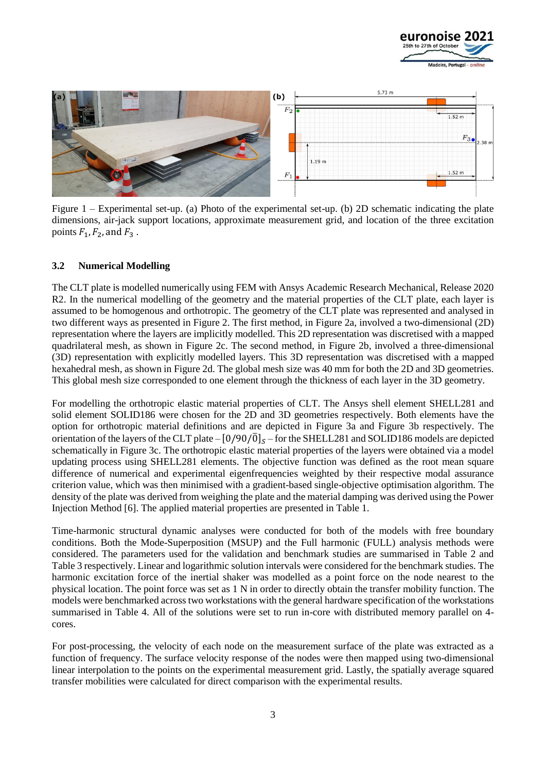



<span id="page-2-0"></span>Figure 1 – Experimental set-up. (a) Photo of the experimental set-up. (b) 2D schematic indicating the plate dimensions, air-jack support locations, approximate measurement grid, and location of the three excitation points  $F_1$ ,  $F_2$ , and  $F_3$ .

#### **3.2 Numerical Modelling**

The CLT plate is modelled numerically using FEM with Ansys Academic Research Mechanical, Release 2020 R2. In the numerical modelling of the geometry and the material properties of the CLT plate, each layer is assumed to be homogenous and orthotropic. The geometry of the CLT plate was represented and analysed in two different ways as presented in [Figure 2.](#page-3-0) The first method, in [Figure 2a](#page-3-0), involved a two-dimensional (2D) representation where the layers are implicitly modelled. This 2D representation was discretised with a mapped quadrilateral mesh, as shown in [Figure 2c](#page-3-0). The second method, in [Figure 2b](#page-3-0), involved a three-dimensional (3D) representation with explicitly modelled layers. This 3D representation was discretised with a mapped hexahedral mesh, as shown i[n Figure 2d](#page-3-0). The global mesh size was 40 mm for both the 2D and 3D geometries. This global mesh size corresponded to one element through the thickness of each layer in the 3D geometry.

For modelling the orthotropic elastic material properties of CLT. The Ansys shell element SHELL281 and solid element SOLID186 were chosen for the 2D and 3D geometries respectively. Both elements have the option for orthotropic material definitions and are depicted in [Figure 3a](#page-3-1) and [Figure 3b](#page-3-1) respectively. The orientation of the layers of the CLT plate –  $[0/90/\overline{0}]_S$  – for the SHELL281 and SOLID186 models are depicted schematically in [Figure 3c](#page-3-1). The orthotropic elastic material properties of the layers were obtained via a model updating process using SHELL281 elements. The objective function was defined as the root mean square difference of numerical and experimental eigenfrequencies weighted by their respective modal assurance criterion value, which was then minimised with a gradient-based single-objective optimisation algorithm. The density of the plate was derived from weighing the plate and the material damping was derived using the Power Injection Method [6]. The applied material properties are presented i[n Table 1.](#page-4-0)

Time-harmonic structural dynamic analyses were conducted for both of the models with free boundary conditions. Both the Mode-Superposition (MSUP) and the Full harmonic (FULL) analysis methods were considered. The parameters used for the validation and benchmark studies are summarised in [Table 2](#page-4-1) and [Table 3](#page-4-2) respectively. Linear and logarithmic solution intervals were considered for the benchmark studies. The harmonic excitation force of the inertial shaker was modelled as a point force on the node nearest to the physical location. The point force was set as 1 N in order to directly obtain the transfer mobility function. The models were benchmarked across two workstations with the general hardware specification of the workstations summarised in [Table 4.](#page-4-3) All of the solutions were set to run in-core with distributed memory parallel on 4 cores.

For post-processing, the velocity of each node on the measurement surface of the plate was extracted as a function of frequency. The surface velocity response of the nodes were then mapped using two-dimensional linear interpolation to the points on the experimental measurement grid. Lastly, the spatially average squared transfer mobilities were calculated for direct comparison with the experimental results.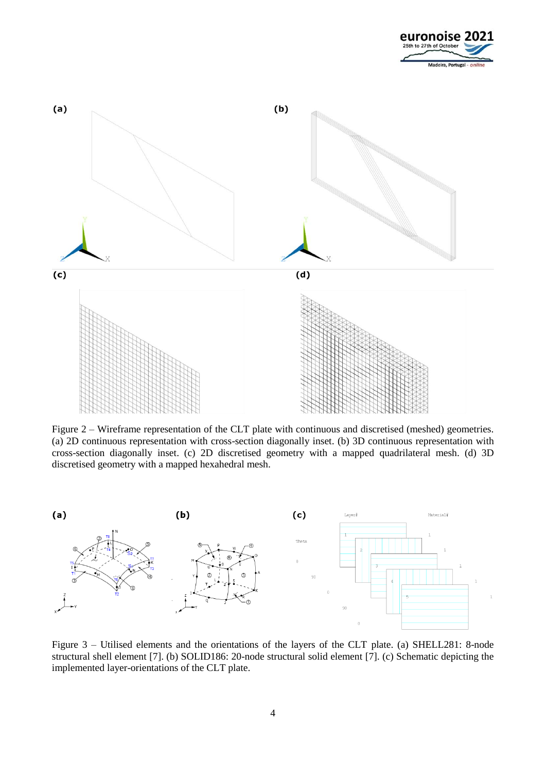



<span id="page-3-0"></span>Figure 2 – Wireframe representation of the CLT plate with continuous and discretised (meshed) geometries. (a) 2D continuous representation with cross-section diagonally inset. (b) 3D continuous representation with cross-section diagonally inset. (c) 2D discretised geometry with a mapped quadrilateral mesh. (d) 3D discretised geometry with a mapped hexahedral mesh.



<span id="page-3-1"></span>Figure 3 – Utilised elements and the orientations of the layers of the CLT plate. (a) SHELL281: 8-node structural shell element [7]. (b) SOLID186: 20-node structural solid element [7]. (c) Schematic depicting the implemented layer-orientations of the CLT plate.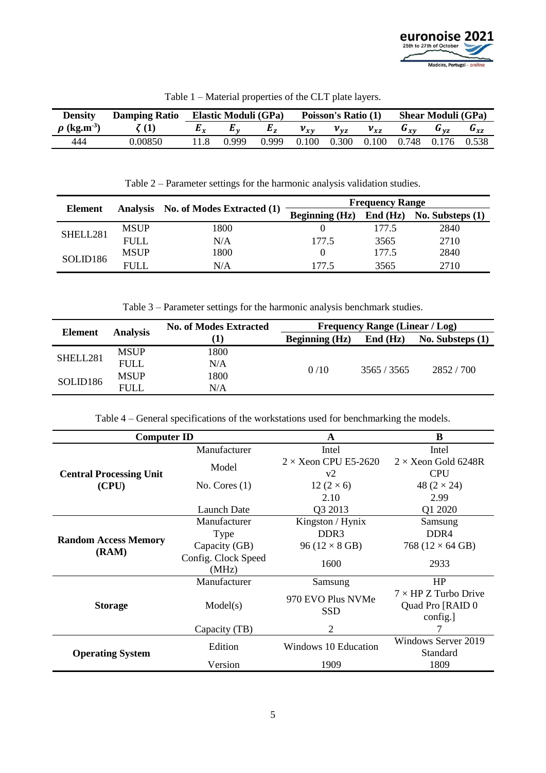

<span id="page-4-0"></span>

| <b>Density</b>               | <b>Damping Ratio</b> | <b>Elastic Moduli (GPa)</b> |       |       | Poisson's Ratio (1) |          |          | <b>Shear Moduli (GPa)</b>           |             |          |
|------------------------------|----------------------|-----------------------------|-------|-------|---------------------|----------|----------|-------------------------------------|-------------|----------|
| $\rho$ (kg.m <sup>-3</sup> ) |                      |                             |       | E,    | $v_{xy}$            | $v_{vz}$ | $v_{xz}$ | $\mathbf{G}_{\mathbf{r}\mathbf{v}}$ | $G_{\nu z}$ | $G_{xz}$ |
| 444                          | 0.00850              |                             | 0.999 | 0.999 | 0.100               | 0.300    | 0.100    | 0.748                               | 0.176       | 0.538    |

Table 1 – Material properties of the CLT plate layers.

Table 2 – Parameter settings for the harmonic analysis validation studies.

<span id="page-4-1"></span>

|          |             |                                     | <b>Frequency Range</b>                                           |       |      |  |
|----------|-------------|-------------------------------------|------------------------------------------------------------------|-------|------|--|
| Element  |             | Analysis No. of Modes Extracted (1) | <b>Beginning (Hz)</b><br>$\text{End (Hz)}$<br>No. Substeps $(1)$ |       |      |  |
| SHELL281 | <b>MSUP</b> | 1800                                |                                                                  | 177.5 | 2840 |  |
|          | <b>FULL</b> | N/A                                 | 177.5                                                            | 3565  | 2710 |  |
| SOLID186 | <b>MSUP</b> | 1800                                |                                                                  | 177.5 | 2840 |  |
|          | FULL.       | N/A                                 | .775                                                             | 3565  | 2710 |  |

Table 3 – Parameter settings for the harmonic analysis benchmark studies.

<span id="page-4-2"></span>

|                | <b>Analysis</b> | <b>No. of Modes Extracted</b> |                  | <b>Frequency Range (Linear / Log)</b> |                    |  |  |
|----------------|-----------------|-------------------------------|------------------|---------------------------------------|--------------------|--|--|
| <b>Element</b> |                 | [1]                           | Beginning $(Hz)$ | $\text{End (Hz)}$                     | No. Substeps $(1)$ |  |  |
| SHELL281       | <b>MSUP</b>     | 1800                          |                  | 3565/3565                             | 2852/700           |  |  |
|                | <b>FULL</b>     | N/A                           | 0/10             |                                       |                    |  |  |
| SOLID186       | <b>MSUP</b>     | 1800                          |                  |                                       |                    |  |  |
|                | <b>FULL</b>     | N/A                           |                  |                                       |                    |  |  |

Table 4 – General specifications of the workstations used for benchmarking the models.

<span id="page-4-3"></span>

| <b>Computer ID</b>                   |                              | A                                 | B                                                            |  |
|--------------------------------------|------------------------------|-----------------------------------|--------------------------------------------------------------|--|
|                                      | Manufacturer                 | Intel                             | Intel                                                        |  |
| <b>Central Processing Unit</b>       | Model                        | $2 \times$ Xeon CPU E5-2620<br>v2 | $2 \times$ Xeon Gold 6248R<br><b>CPU</b>                     |  |
| (CPU)                                | No. Cores $(1)$              | 12 $(2 \times 6)$<br>2.10         | 48 $(2 \times 24)$<br>2.99                                   |  |
|                                      | Launch Date                  | Q3 2013                           | Q1 2020                                                      |  |
|                                      | Manufacturer                 | Kingston / Hynix                  | Samsung                                                      |  |
|                                      | Type                         | DDR <sub>3</sub>                  | DDR <sub>4</sub>                                             |  |
| <b>Random Access Memory</b><br>(RAM) | Capacity (GB)                | 96 ( $12 \times 8$ GB)            | 768 ( $12 \times 64$ GB)                                     |  |
|                                      | Config. Clock Speed<br>(MHz) | 1600                              | 2933                                                         |  |
|                                      | Manufacturer                 | Samsung                           | HP                                                           |  |
| <b>Storage</b>                       | Model(s)                     | 970 EVO Plus NVMe<br><b>SSD</b>   | $7 \times$ HP Z Turbo Drive<br>Quad Pro [RAID 0]<br>config.] |  |
|                                      | Capacity (TB)                | 2                                 |                                                              |  |
| <b>Operating System</b>              | Edition                      | Windows 10 Education              | Windows Server 2019<br>Standard                              |  |
|                                      | Version                      | 1909                              | 1809                                                         |  |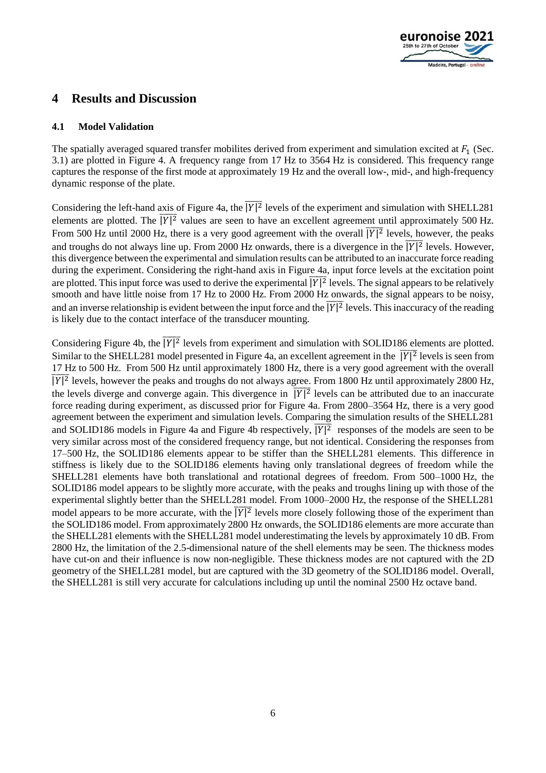

## **4 Results and Discussion**

#### **4.1 Model Validation**

The spatially averaged squared transfer mobilites derived from experiment and simulation excited at  $F_1$  (Sec. [3.1\)](#page-1-0) are plotted in [Figure 4.](#page-6-0) A frequency range from 17 Hz to 3564 Hz is considered. This frequency range captures the response of the first mode at approximately 19 Hz and the overall low-, mid-, and high-frequency dynamic response of the plate.

Considering the left-hand axis of [Figure 4a](#page-6-0), the  $|\overline{Y}|^2$  levels of the experiment and simulation with SHELL281 elements are plotted. The  $|\overline{Y}|^2$  values are seen to have an excellent agreement until approximately 500 Hz. From 500 Hz until 2000 Hz, there is a very good agreement with the overall  $\overline{|Y|^2}$  levels, however, the peaks and troughs do not always line up. From 2000 Hz onwards, there is a divergence in the  $|\overline{Y}|^2$  levels. However, this divergence between the experimental and simulation results can be attributed to an inaccurate force reading during the experiment. Considering the right-hand axis in [Figure 4a](#page-6-0), input force levels at the excitation point are plotted. This input force was used to derive the experimental  $\overline{|Y|^2}$  levels. The signal appears to be relatively smooth and have little noise from 17 Hz to 2000 Hz. From 2000 Hz onwards, the signal appears to be noisy, and an inverse relationship is evident between the input force and the  $\sqrt{|\overline{Y}|^2}$  levels. This inaccuracy of the reading is likely due to the contact interface of the transducer mounting.

Considering [Figure 4b](#page-6-0), the  $|\overline{Y}|^2$  levels from experiment and simulation with SOLID186 elements are plotted. Similar to the SHELL281 model presented in [Figure 4a](#page-6-0), an excellent agreement in the  $|\overline{Y}|^2$  levels is seen from 17 Hz to 500 Hz. From 500 Hz until approximately 1800 Hz, there is a very good agreement with the overall  $|\overline{Y}|^2$  levels, however the peaks and troughs do not always agree. From 1800 Hz until approximately 2800 Hz, the levels diverge and converge again. This divergence in  $\overline{|Y|^2}$  levels can be attributed due to an inaccurate force reading during experiment, as discussed prior for [Figure 4a](#page-6-0). From 2800–3564 Hz, there is a very good agreement between the experiment and simulation levels. Comparing the simulation results of the SHELL281 and SOLID186 models in [Figure 4a](#page-6-0) and [Figure 4b](#page-6-0) respectively,  $|\overline{Y}|^2$  responses of the models are seen to be very similar across most of the considered frequency range, but not identical. Considering the responses from 17–500 Hz, the SOLID186 elements appear to be stiffer than the SHELL281 elements. This difference in stiffness is likely due to the SOLID186 elements having only translational degrees of freedom while the SHELL281 elements have both translational and rotational degrees of freedom. From 500–1000 Hz, the SOLID186 model appears to be slightly more accurate, with the peaks and troughs lining up with those of the experimental slightly better than the SHELL281 model. From 1000–2000 Hz, the response of the SHELL281 model appears to be more accurate, with the  $|\overline{Y}|^2$  levels more closely following those of the experiment than the SOLID186 model. From approximately 2800 Hz onwards, the SOLID186 elements are more accurate than the SHELL281 elements with the SHELL281 model underestimating the levels by approximately 10 dB. From 2800 Hz, the limitation of the 2.5-dimensional nature of the shell elements may be seen. The thickness modes have cut-on and their influence is now non-negligible. These thickness modes are not captured with the 2D geometry of the SHELL281 model, but are captured with the 3D geometry of the SOLID186 model. Overall, the SHELL281 is still very accurate for calculations including up until the nominal 2500 Hz octave band.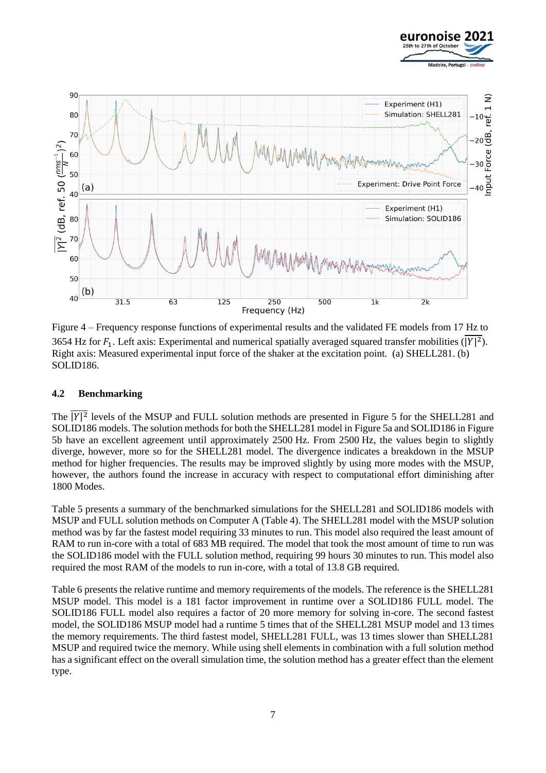



<span id="page-6-0"></span>Figure 4 – Frequency response functions of experimental results and the validated FE models from 17 Hz to 3654 Hz for  $F_1$ . Left axis: Experimental and numerical spatially averaged squared transfer mobilities ( $|Y|^2$ ). Right axis: Measured experimental input force of the shaker at the excitation point. (a) SHELL281. (b) SOLID186.

#### **4.2 Benchmarking**

The  $|\overline{Y}|^2$  levels of the MSUP and FULL solution methods are presented in [Figure 5](#page-7-0) for the SHELL281 and SOLID186 models. The solution methods for both the SHELL281 model in [Figure 5a](#page-7-0) and SOLID186 in [Figure](#page-7-0)  [5b](#page-7-0) have an excellent agreement until approximately 2500 Hz. From 2500 Hz, the values begin to slightly diverge, however, more so for the SHELL281 model. The divergence indicates a breakdown in the MSUP method for higher frequencies. The results may be improved slightly by using more modes with the MSUP, however, the authors found the increase in accuracy with respect to computational effort diminishing after 1800 Modes.

[Table 5](#page-7-1) presents a summary of the benchmarked simulations for the SHELL281 and SOLID186 models with MSUP and FULL solution methods on Computer A [\(Table 4\)](#page-4-3). The SHELL281 model with the MSUP solution method was by far the fastest model requiring 33 minutes to run. This model also required the least amount of RAM to run in-core with a total of 683 MB required. The model that took the most amount of time to run was the SOLID186 model with the FULL solution method, requiring 99 hours 30 minutes to run. This model also required the most RAM of the models to run in-core, with a total of 13.8 GB required.

[Table 6](#page-8-0) presents the relative runtime and memory requirements of the models. The reference is the SHELL281 MSUP model. This model is a 181 factor improvement in runtime over a SOLID186 FULL model. The SOLID186 FULL model also requires a factor of 20 more memory for solving in-core. The second fastest model, the SOLID186 MSUP model had a runtime 5 times that of the SHELL281 MSUP model and 13 times the memory requirements. The third fastest model, SHELL281 FULL, was 13 times slower than SHELL281 MSUP and required twice the memory. While using shell elements in combination with a full solution method has a significant effect on the overall simulation time, the solution method has a greater effect than the element type.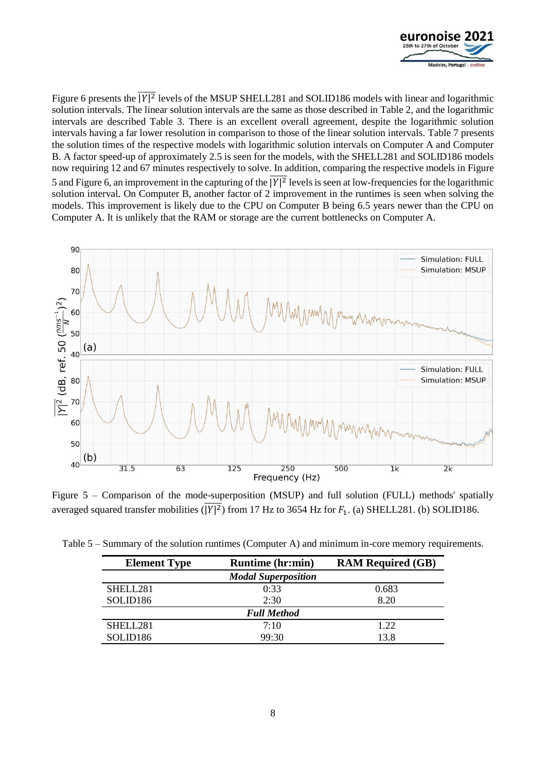

[Figure 6](#page-8-1) presents the  $|\overline{Y}|^2$  levels of the MSUP SHELL281 and SOLID186 models with linear and logarithmic solution intervals. The linear solution intervals are the same as those described in [Table 2,](#page-4-1) and the logarithmic intervals are described [Table 3.](#page-4-2) There is an excellent overall agreement, despite the logarithmic solution intervals having a far lower resolution in comparison to those of the linear solution intervals. [Table 7](#page-8-2) presents the solution times of the respective models with logarithmic solution intervals on Computer A and Computer B. A factor speed-up of approximately 2.5 is seen for the models, with the SHELL281 and SOLID186 models now requiring 12 and 67 minutes respectively to solve. In addition, comparing the respective models in [Figure](#page-7-0)  [5](#page-7-0) and [Figure 6,](#page-8-1) an improvement in the capturing of the  $|Y|^2$  levels is seen at low-frequencies for the logarithmic solution interval. On Computer B, another factor of 2 improvement in the runtimes is seen when solving the models. This improvement is likely due to the CPU on Computer B being 6.5 years newer than the CPU on Computer A. It is unlikely that the RAM or storage are the current bottlenecks on Computer A.



<span id="page-7-0"></span>Figure 5 – Comparison of the mode-superposition (MSUP) and full solution (FULL) methods' spatially averaged squared transfer mobilities ( $|Y|^2$ ) from 17 Hz to 3654 Hz for  $F_1$ . (a) SHELL281. (b) SOLID186.

| <b>Element Type</b>  | <b>Runtime (hr:min)</b>    | <b>RAM Required (GB)</b> |
|----------------------|----------------------------|--------------------------|
|                      | <b>Modal Superposition</b> |                          |
| SHELL281             | 0:33                       | 0.683                    |
| SOLID <sub>186</sub> | 2:30                       | 8.20                     |
|                      | <b>Full Method</b>         |                          |
| SHELL281             | 7:10                       | 1.22                     |
| SOLID <sub>186</sub> | 99:30                      | 13.8                     |

<span id="page-7-1"></span>Table 5 – Summary of the solution runtimes (Computer A) and minimum in-core memory requirements.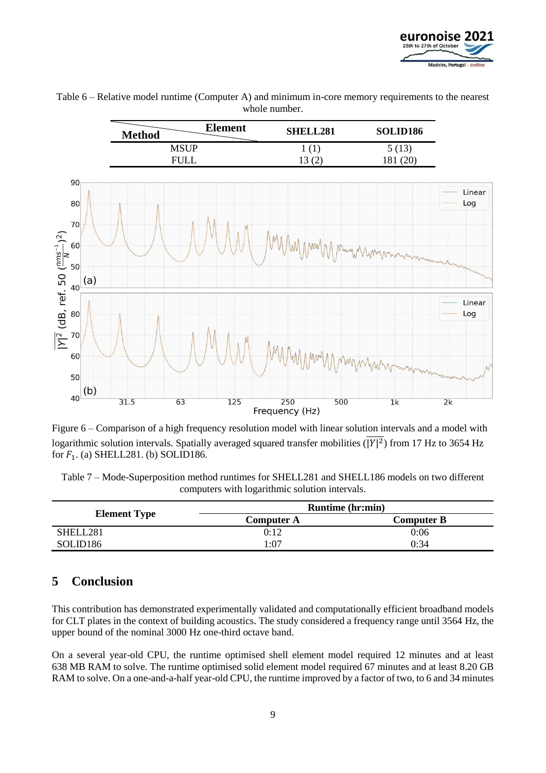



<span id="page-8-0"></span>Table 6 – Relative model runtime (Computer A) and minimum in-core memory requirements to the nearest whole number.

<span id="page-8-1"></span>Figure 6 – Comparison of a high frequency resolution model with linear solution intervals and a model with logarithmic solution intervals. Spatially averaged squared transfer mobilities ( $|Y|^2$ ) from 17 Hz to 3654 Hz for  $F_1$ . (a) SHELL281. (b) SOLID186.

<span id="page-8-2"></span>Table 7 – Mode-Superposition method runtimes for SHELL281 and SHELL186 models on two different computers with logarithmic solution intervals.

|                      | <b>Runtime</b> (hr:min) |            |  |  |
|----------------------|-------------------------|------------|--|--|
| <b>Element Type</b>  | Computer A              | Computer B |  |  |
| SHELL281             | 0:12                    | 0:06       |  |  |
| SOLID <sub>186</sub> | 07:،                    | 0:34       |  |  |

# **5 Conclusion**

This contribution has demonstrated experimentally validated and computationally efficient broadband models for CLT plates in the context of building acoustics. The study considered a frequency range until 3564 Hz, the upper bound of the nominal 3000 Hz one-third octave band.

On a several year-old CPU, the runtime optimised shell element model required 12 minutes and at least 638 MB RAM to solve. The runtime optimised solid element model required 67 minutes and at least 8.20 GB RAM to solve. On a one-and-a-half year-old CPU, the runtime improved by a factor of two, to 6 and 34 minutes